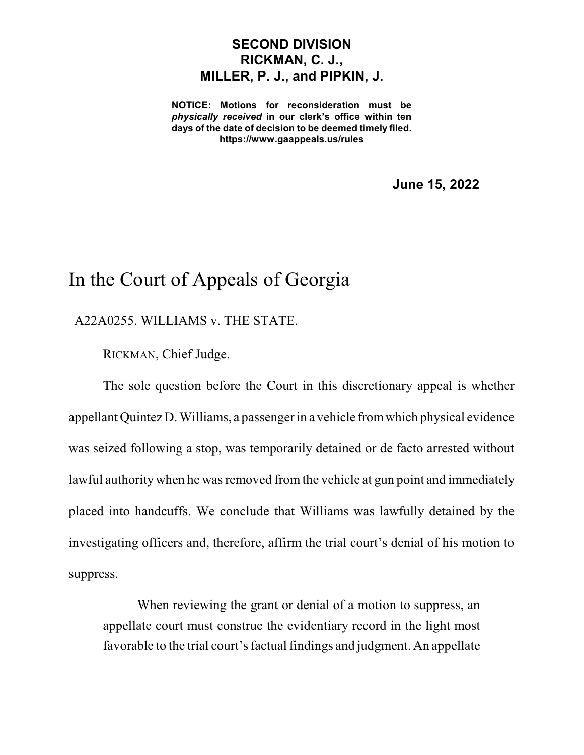## **SECOND DIVISION RICKMAN, C. J., MILLER, P. J., and PIPKIN, J.**

**NOTICE: Motions for reconsideration must be** *physically received* **in our clerk's office within ten days of the date of decision to be deemed timely filed. https://www.gaappeals.us/rules**

**June 15, 2022**

## In the Court of Appeals of Georgia

A22A0255. WILLIAMS v. THE STATE.

RICKMAN, Chief Judge.

The sole question before the Court in this discretionary appeal is whether appellant Quintez D. Williams, a passenger in a vehicle fromwhich physical evidence was seized following a stop, was temporarily detained or de facto arrested without lawful authority when he was removed from the vehicle at gun point and immediately placed into handcuffs. We conclude that Williams was lawfully detained by the investigating officers and, therefore, affirm the trial court's denial of his motion to suppress.

When reviewing the grant or denial of a motion to suppress, an appellate court must construe the evidentiary record in the light most favorable to the trial court's factual findings and judgment. An appellate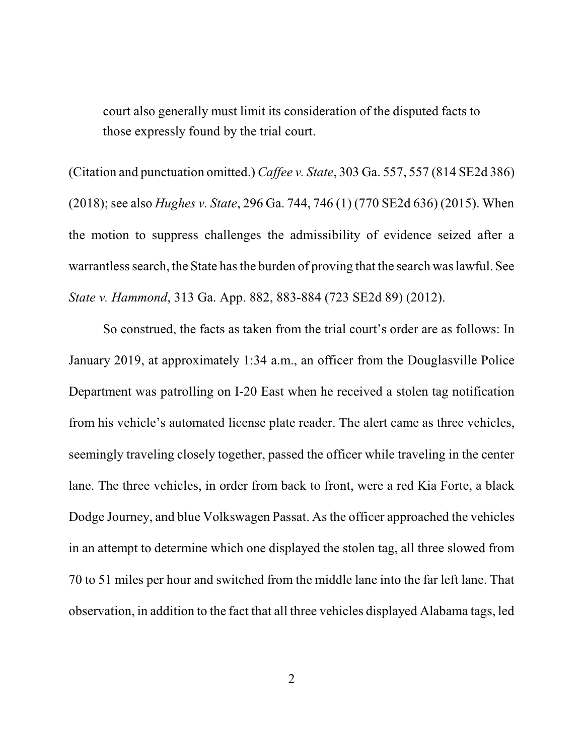court also generally must limit its consideration of the disputed facts to those expressly found by the trial court.

(Citation and punctuation omitted.) *Caffee v. State*, 303 Ga. 557, 557 (814 SE2d 386) (2018); see also *Hughes v. State*, 296 Ga. 744, 746 (1) (770 SE2d 636) (2015). When the motion to suppress challenges the admissibility of evidence seized after a warrantless search, the State has the burden of proving that the search was lawful. See *State v. Hammond*, 313 Ga. App. 882, 883-884 (723 SE2d 89) (2012).

So construed, the facts as taken from the trial court's order are as follows: In January 2019, at approximately 1:34 a.m., an officer from the Douglasville Police Department was patrolling on I-20 East when he received a stolen tag notification from his vehicle's automated license plate reader. The alert came as three vehicles, seemingly traveling closely together, passed the officer while traveling in the center lane. The three vehicles, in order from back to front, were a red Kia Forte, a black Dodge Journey, and blue Volkswagen Passat. As the officer approached the vehicles in an attempt to determine which one displayed the stolen tag, all three slowed from 70 to 51 miles per hour and switched from the middle lane into the far left lane. That observation, in addition to the fact that all three vehicles displayed Alabama tags, led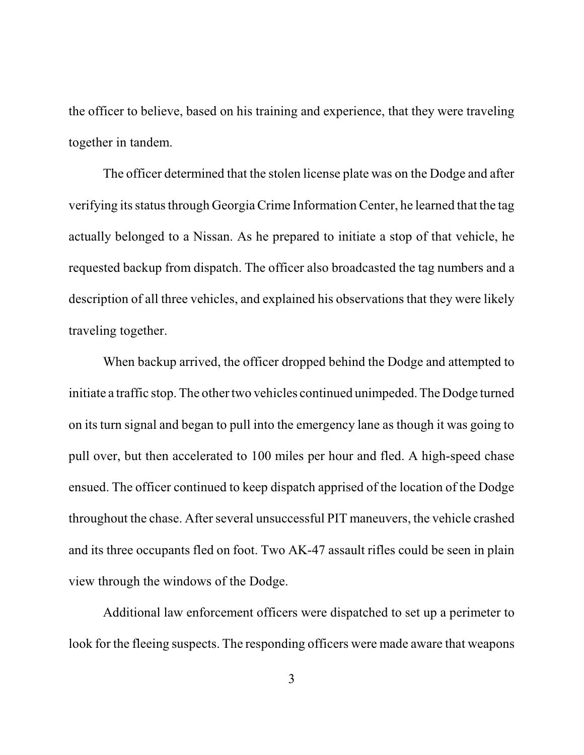the officer to believe, based on his training and experience, that they were traveling together in tandem.

The officer determined that the stolen license plate was on the Dodge and after verifying its status through Georgia Crime Information Center, he learned that the tag actually belonged to a Nissan. As he prepared to initiate a stop of that vehicle, he requested backup from dispatch. The officer also broadcasted the tag numbers and a description of all three vehicles, and explained his observations that they were likely traveling together.

When backup arrived, the officer dropped behind the Dodge and attempted to initiate a traffic stop. The other two vehicles continued unimpeded. The Dodge turned on its turn signal and began to pull into the emergency lane as though it was going to pull over, but then accelerated to 100 miles per hour and fled. A high-speed chase ensued. The officer continued to keep dispatch apprised of the location of the Dodge throughout the chase. After several unsuccessful PIT maneuvers, the vehicle crashed and its three occupants fled on foot. Two AK-47 assault rifles could be seen in plain view through the windows of the Dodge.

Additional law enforcement officers were dispatched to set up a perimeter to look for the fleeing suspects. The responding officers were made aware that weapons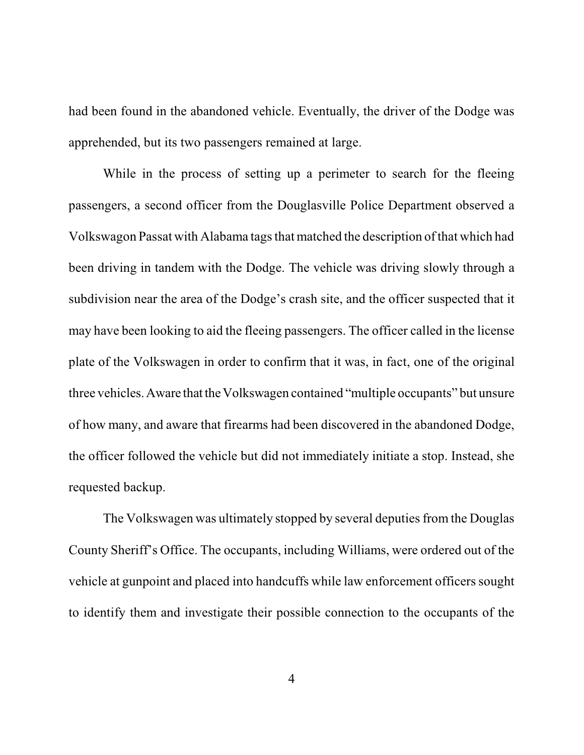had been found in the abandoned vehicle. Eventually, the driver of the Dodge was apprehended, but its two passengers remained at large.

While in the process of setting up a perimeter to search for the fleeing passengers, a second officer from the Douglasville Police Department observed a Volkswagon Passat with Alabama tagsthat matched the description of that which had been driving in tandem with the Dodge. The vehicle was driving slowly through a subdivision near the area of the Dodge's crash site, and the officer suspected that it may have been looking to aid the fleeing passengers. The officer called in the license plate of the Volkswagen in order to confirm that it was, in fact, one of the original three vehicles. Aware that the Volkswagen contained "multiple occupants" but unsure of how many, and aware that firearms had been discovered in the abandoned Dodge, the officer followed the vehicle but did not immediately initiate a stop. Instead, she requested backup.

The Volkswagen was ultimately stopped by several deputies from the Douglas County Sheriff's Office. The occupants, including Williams, were ordered out of the vehicle at gunpoint and placed into handcuffs while law enforcement officers sought to identify them and investigate their possible connection to the occupants of the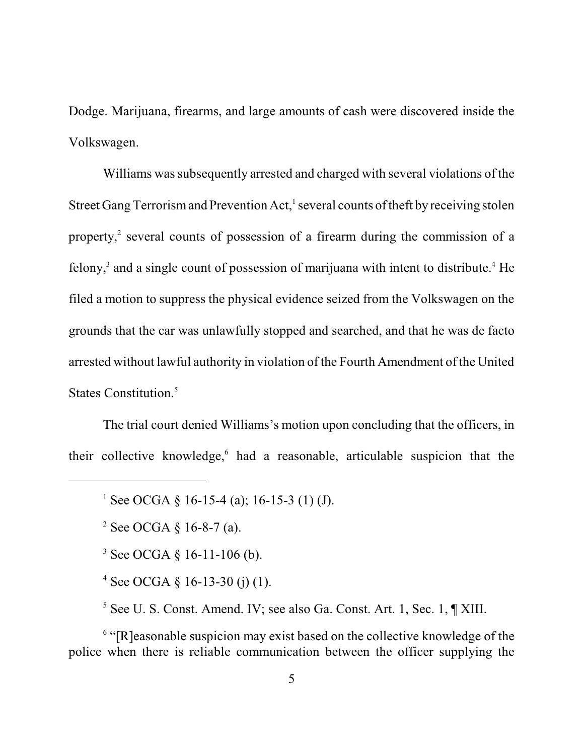Dodge. Marijuana, firearms, and large amounts of cash were discovered inside the Volkswagen.

Williams was subsequently arrested and charged with several violations of the Street Gang Terrorism and Prevention Act,<sup>1</sup> several counts of theft by receiving stolen property, 2 several counts of possession of a firearm during the commission of a felony,<sup>3</sup> and a single count of possession of marijuana with intent to distribute.<sup>4</sup> He filed a motion to suppress the physical evidence seized from the Volkswagen on the grounds that the car was unlawfully stopped and searched, and that he was de facto arrested without lawful authority in violation of the Fourth Amendment of the United States Constitution. 5

The trial court denied Williams's motion upon concluding that the officers, in their collective knowledge,<sup>6</sup> had a reasonable, articulable suspicion that the

<sup>3</sup> See OCGA  $\S$  16-11-106 (b).

<sup>4</sup> See OCGA  $\S$  16-13-30 (j) (1).

<sup>5</sup> See U. S. Const. Amend. IV; see also Ga. Const. Art. 1, Sec. 1, ¶ XIII.

<sup>6</sup> "[R]easonable suspicion may exist based on the collective knowledge of the police when there is reliable communication between the officer supplying the

<sup>&</sup>lt;sup>1</sup> See OCGA § 16-15-4 (a); 16-15-3 (1) (J).

<sup>&</sup>lt;sup>2</sup> See OCGA  $\S$  16-8-7 (a).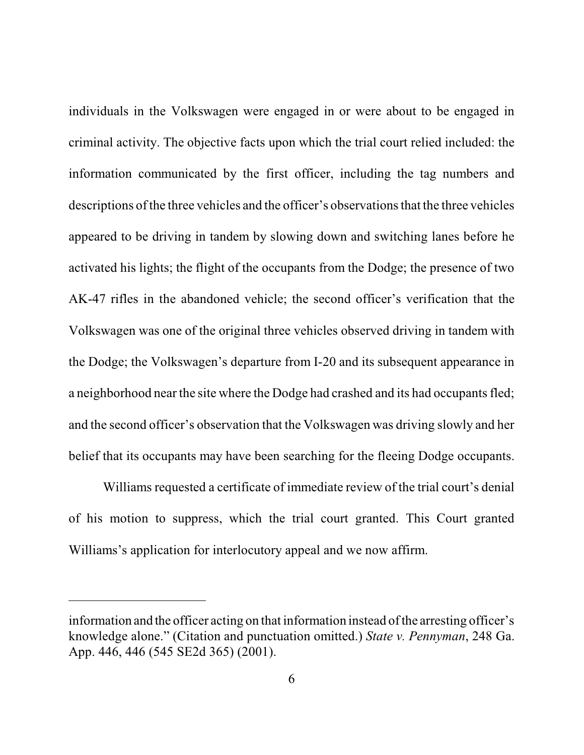individuals in the Volkswagen were engaged in or were about to be engaged in criminal activity. The objective facts upon which the trial court relied included: the information communicated by the first officer, including the tag numbers and descriptions of the three vehicles and the officer's observations that the three vehicles appeared to be driving in tandem by slowing down and switching lanes before he activated his lights; the flight of the occupants from the Dodge; the presence of two AK-47 rifles in the abandoned vehicle; the second officer's verification that the Volkswagen was one of the original three vehicles observed driving in tandem with the Dodge; the Volkswagen's departure from I-20 and its subsequent appearance in a neighborhood near the site where the Dodge had crashed and its had occupants fled; and the second officer's observation that the Volkswagen was driving slowly and her belief that its occupants may have been searching for the fleeing Dodge occupants.

Williams requested a certificate of immediate review of the trial court's denial of his motion to suppress, which the trial court granted. This Court granted Williams's application for interlocutory appeal and we now affirm.

information and the officer acting on that information instead of the arresting officer's knowledge alone." (Citation and punctuation omitted.) *State v. Pennyman*, 248 Ga. App. 446, 446 (545 SE2d 365) (2001).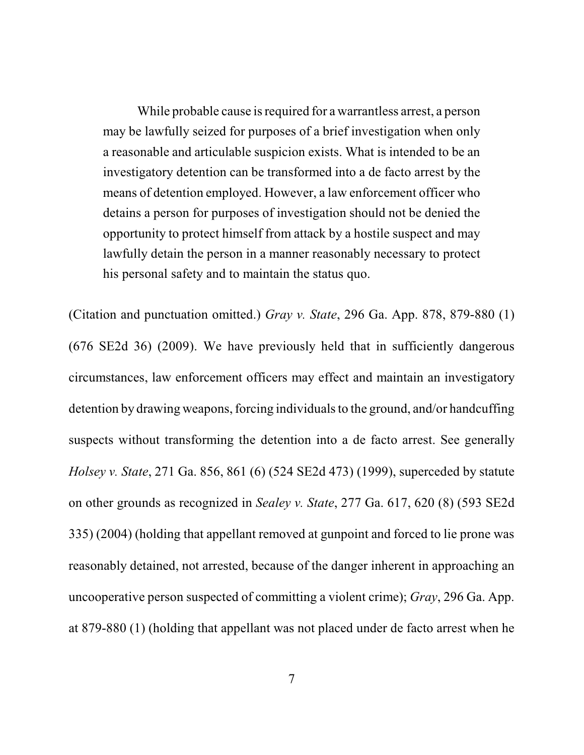While probable cause is required for a warrantless arrest, a person may be lawfully seized for purposes of a brief investigation when only a reasonable and articulable suspicion exists. What is intended to be an investigatory detention can be transformed into a de facto arrest by the means of detention employed. However, a law enforcement officer who detains a person for purposes of investigation should not be denied the opportunity to protect himself from attack by a hostile suspect and may lawfully detain the person in a manner reasonably necessary to protect his personal safety and to maintain the status quo.

(Citation and punctuation omitted.) *Gray v. State*, 296 Ga. App. 878, 879-880 (1) (676 SE2d 36) (2009). We have previously held that in sufficiently dangerous circumstances, law enforcement officers may effect and maintain an investigatory detention by drawing weapons, forcing individuals to the ground, and/or handcuffing suspects without transforming the detention into a de facto arrest. See generally *Holsey v. State*, 271 Ga. 856, 861 (6) (524 SE2d 473) (1999), superceded by statute on other grounds as recognized in *Sealey v. State*, 277 Ga. 617, 620 (8) (593 SE2d 335) (2004) (holding that appellant removed at gunpoint and forced to lie prone was reasonably detained, not arrested, because of the danger inherent in approaching an uncooperative person suspected of committing a violent crime); *Gray*, 296 Ga. App. at 879-880 (1) (holding that appellant was not placed under de facto arrest when he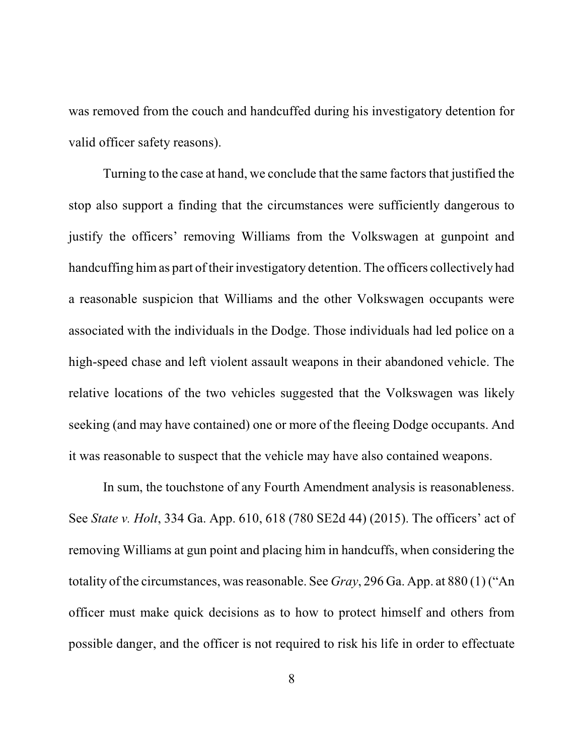was removed from the couch and handcuffed during his investigatory detention for valid officer safety reasons).

Turning to the case at hand, we conclude that the same factors that justified the stop also support a finding that the circumstances were sufficiently dangerous to justify the officers' removing Williams from the Volkswagen at gunpoint and handcuffing himas part of their investigatory detention. The officers collectively had a reasonable suspicion that Williams and the other Volkswagen occupants were associated with the individuals in the Dodge. Those individuals had led police on a high-speed chase and left violent assault weapons in their abandoned vehicle. The relative locations of the two vehicles suggested that the Volkswagen was likely seeking (and may have contained) one or more of the fleeing Dodge occupants. And it was reasonable to suspect that the vehicle may have also contained weapons.

In sum, the touchstone of any Fourth Amendment analysis is reasonableness. See *State v. Holt*, 334 Ga. App. 610, 618 (780 SE2d 44) (2015). The officers' act of removing Williams at gun point and placing him in handcuffs, when considering the totality of the circumstances, wasreasonable. See *Gray*, 296 Ga. App. at 880 (1) ("An officer must make quick decisions as to how to protect himself and others from possible danger, and the officer is not required to risk his life in order to effectuate